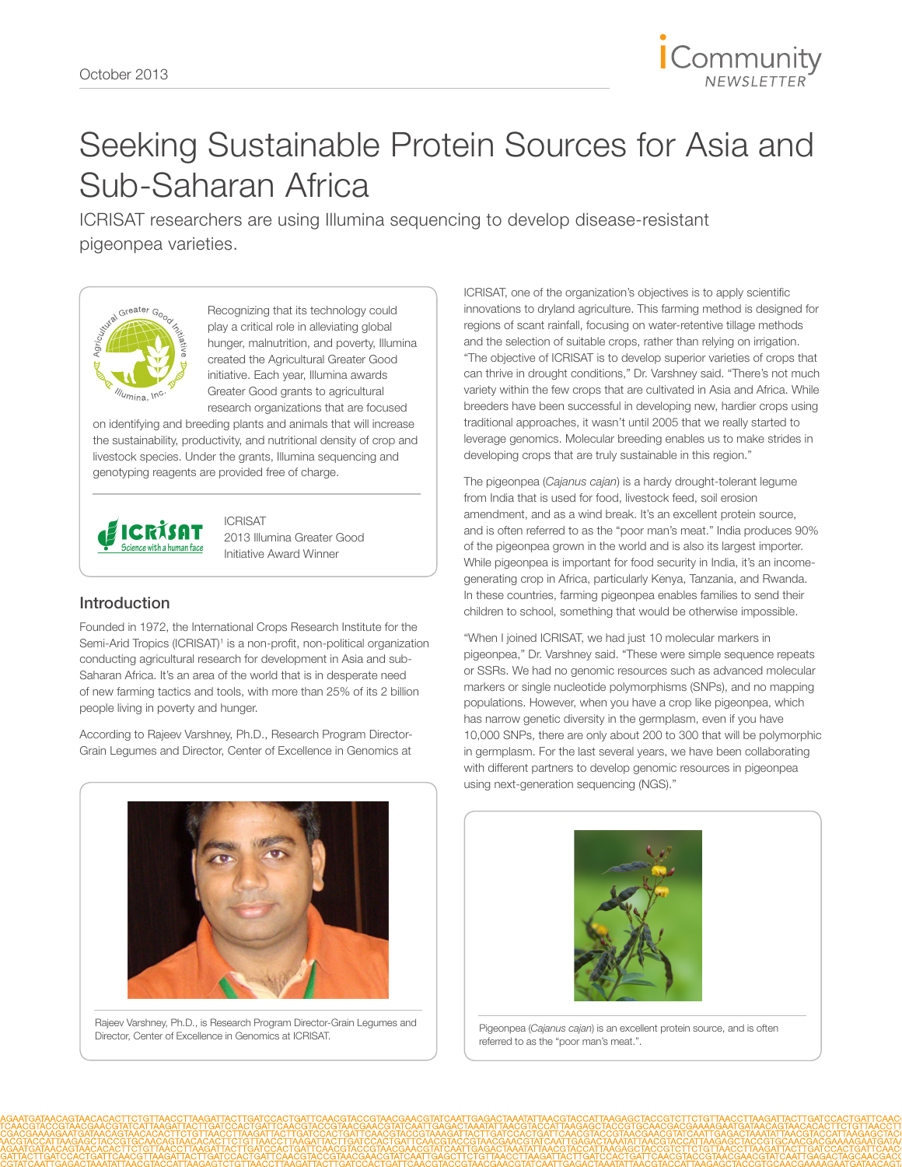

## Seeking Sustainable Protein Sources for Asia and Sub-Saharan Africa

ICRISAT researchers are using Illumina sequencing to develop disease-resistant pigeonpea varieties.



Recognizing that its technology could play a critical role in alleviating global hunger, malnutrition, and poverty, Illumina created the Agricultural Greater Good initiative. Each year, Illumina awards Greater Good grants to agricultural research organizations that are focused

on identifying and breeding plants and animals that will increase the sustainability, productivity, and nutritional density of crop and livestock species. Under the grants, Illumina sequencing and genotyping reagents are provided free of charge.



ICRISAT 2013 Illumina Greater Good Initiative Award Winner

### Introduction

Founded in 1972, the [International Crops Research Institute for the](http://www.icrisat.org/index.htm#)  [Semi-Arid Tropics \(ICRISAT\)](http://www.icrisat.org/index.htm#)<sup>1</sup> is a non-profit, non-political organization conducting agricultural research for development in Asia and sub-Saharan Africa. It's an area of the world that is in desperate need of new farming tactics and tools, with more than 25% of its 2 billion people living in poverty and hunger.

According to Rajeev Varshney, Ph.D., Research Program Director-Grain Legumes and Director, Center of Excellence in Genomics at ICRISAT, one of the organization's objectives is to apply scientific innovations to dryland agriculture. This farming method is designed for regions of scant rainfall, focusing on water-retentive tillage methods and the selection of suitable crops, rather than relying on irrigation. "The objective of ICRISAT is to develop superior varieties of crops that can thrive in drought conditions," Dr. Varshney said. "There's not much variety within the few crops that are cultivated in Asia and Africa. While breeders have been successful in developing new, hardier crops using traditional approaches, it wasn't until 2005 that we really started to leverage genomics. Molecular breeding enables us to make strides in developing crops that are truly sustainable in this region."

The pigeonpea (*Cajanus cajan*) is a hardy drought-tolerant legume from India that is used for food, livestock feed, soil erosion amendment, and as a wind break. It's an excellent protein source, and is often referred to as the "poor man's meat." India produces 90% of the pigeonpea grown in the world and is also its largest importer. While pigeonpea is important for food security in India, it's an incomegenerating crop in Africa, particularly Kenya, Tanzania, and Rwanda. In these countries, farming pigeonpea enables families to send their children to school, something that would be otherwise impossible.

"When I joined ICRISAT, we had just 10 molecular markers in pigeonpea," Dr. Varshney said. "These were simple sequence repeats or SSRs. We had no genomic resources such as advanced molecular markers or single nucleotide polymorphisms (SNPs), and no mapping populations. However, when you have a crop like pigeonpea, which has narrow genetic diversity in the germplasm, even if you have 10,000 SNPs, there are only about 200 to 300 that will be polymorphic in germplasm. For the last several years, we have been collaborating with different partners to develop genomic resources in pigeonpea using next-generation sequencing (NGS)."



Rajeev Varshney, Ph.D., is Research Program Director-Grain Legumes and Director, Center of Excellence in Genomics at ICRISAT.<br>Director, Center of Excellence in Genomics at ICRISAT.



referred to as the "poor man's meat.".